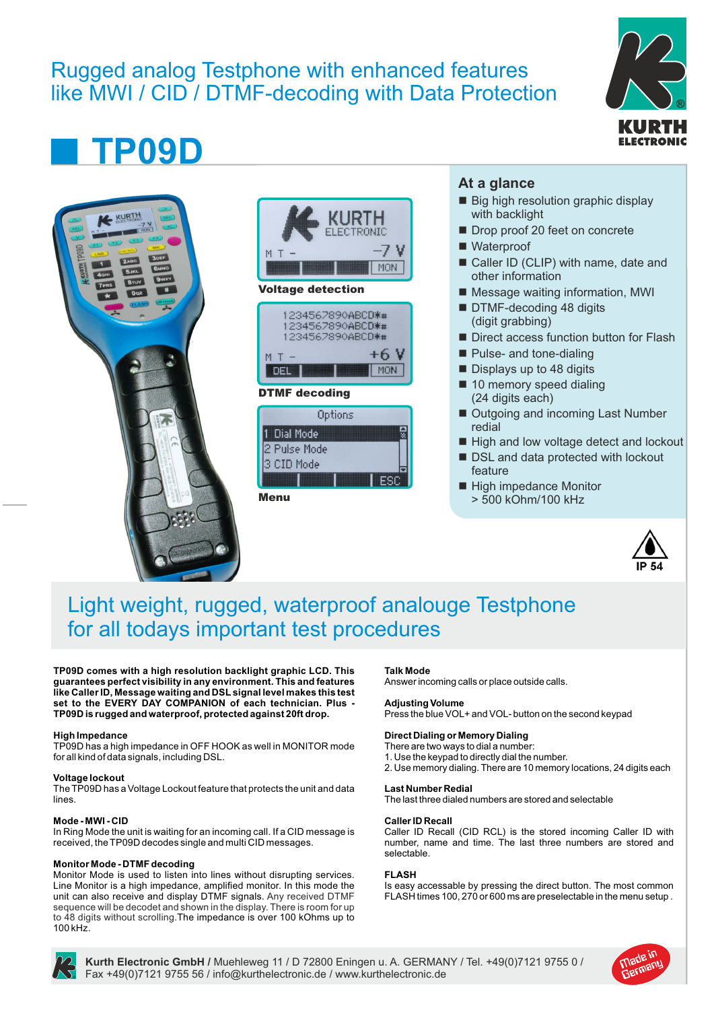# Rugged analog Testphone with enhanced features like MWI / CID / DTMF-decoding with Data Protection



# **TP09D**





### Voltage detection



### DTMF decoding

| Options      |  |
|--------------|--|
| Dial Mode    |  |
| 2 Pulse Mode |  |
| 3 CID Mode   |  |
|              |  |

Menu

# **At a glance**

- Big high resolution graphic display with backlight
- Drop proof 20 feet on concrete
- Waterproof
- Caller ID (CLIP) with name, date and other information
- Message waiting information, MWI
- DTMF-decoding 48 digits (digit grabbing)
- Direct access function button for Flash
- Pulse- and tone-dialing
- $\blacksquare$  Displays up to 48 digits
- 10 memory speed dialing (24 digits each)
- Outgoing and incoming Last Number redial
- High and low voltage detect and lockout
- DSL and data protected with lockout feature
- High impedance Monitor > 500 kOhm/100 kHz



# Light weight, rugged, waterproof analouge Testphone for all todays important test procedures

**TP09D comes with a high resolution backlight graphic LCD. This guarantees perfect visibility in any environment. This and features like Caller ID, Message waiting and DSL signal level makes this test set to the EVERY DAY COMPANION of each technician. Plus - TP09D is rugged and waterproof, protected against 20ft drop.**

#### **High Impedance**

TP09D has a high impedance in OFF HOOK as well in MONITOR mode for all kind of data signals, including DSL.

#### **Voltage lockout**

The TP09D has a Voltage Lockout feature that protects the unit and data lines.

#### **Mode - MWI - CID**

In Ring Mode the unit is waiting for an incoming call. If a CID message is received, the TP09D decodes single and multi CID messages.

#### **Monitor Mode - DTMF decoding**

Monitor Mode is used to listen into lines without disrupting services. Line Monitor is a high impedance, amplified monitor. In this mode the unit can also receive and display DTMF signals. Any received DTMF sequence will be decodet and shown in the display. There is room for up to 48 digits without scrolling.The impedance is over 100 kOhms up to 100 kHz.

#### **Talk Mode**

Answer incoming calls or place outside calls.

#### **Adjusting Volume**

Press the blue VOL+ and VOL- button on the second keypad

#### **Direct Dialing or Memory Dialing**

- There are two ways to dial a number:
- 1. Use the keypad to directly dial the number.
- 2. Use memory dialing. There are 10 memory locations, 24 digits each

#### **Last Number Redial**

The last three dialed numbers are stored and selectable

#### **Caller ID Recall**

Caller ID Recall (CID RCL) is the stored incoming Caller ID with number, name and time. The last three numbers are stored and selectable.

#### **FLASH**

Is easy accessable by pressing the direct button. The most common FLASH times 100, 270 or 600 ms are preselectable in the menu setup .